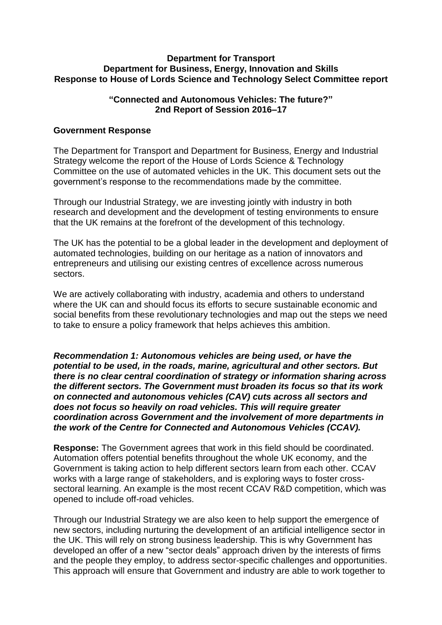#### **Department for Transport Department for Business, Energy, Innovation and Skills Response to House of Lords Science and Technology Select Committee report**

# **"Connected and Autonomous Vehicles: The future?" 2nd Report of Session 2016–17**

# **Government Response**

The Department for Transport and Department for Business, Energy and Industrial Strategy welcome the report of the House of Lords Science & Technology Committee on the use of automated vehicles in the UK. This document sets out the government's response to the recommendations made by the committee.

Through our Industrial Strategy, we are investing jointly with industry in both research and development and the development of testing environments to ensure that the UK remains at the forefront of the development of this technology.

The UK has the potential to be a global leader in the development and deployment of automated technologies, building on our heritage as a nation of innovators and entrepreneurs and utilising our existing centres of excellence across numerous sectors.

We are actively collaborating with industry, academia and others to understand where the UK can and should focus its efforts to secure sustainable economic and social benefits from these revolutionary technologies and map out the steps we need to take to ensure a policy framework that helps achieves this ambition.

*Recommendation 1: Autonomous vehicles are being used, or have the potential to be used, in the roads, marine, agricultural and other sectors. But there is no clear central coordination of strategy or information sharing across the different sectors. The Government must broaden its focus so that its work on connected and autonomous vehicles (CAV) cuts across all sectors and does not focus so heavily on road vehicles. This will require greater coordination across Government and the involvement of more departments in the work of the Centre for Connected and Autonomous Vehicles (CCAV).* 

**Response:** The Government agrees that work in this field should be coordinated. Automation offers potential benefits throughout the whole UK economy, and the Government is taking action to help different sectors learn from each other. CCAV works with a large range of stakeholders, and is exploring ways to foster crosssectoral learning. An example is the most recent CCAV R&D competition, which was opened to include off-road vehicles.

Through our Industrial Strategy we are also keen to help support the emergence of new sectors, including nurturing the development of an artificial intelligence sector in the UK. This will rely on strong business leadership. This is why Government has developed an offer of a new "sector deals" approach driven by the interests of firms and the people they employ, to address sector-specific challenges and opportunities. This approach will ensure that Government and industry are able to work together to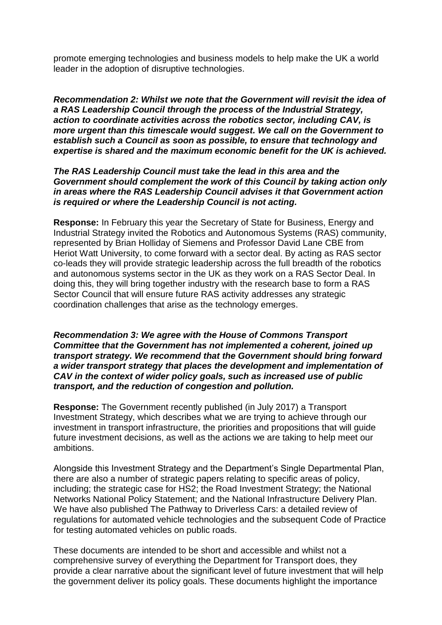promote emerging technologies and business models to help make the UK a world leader in the adoption of disruptive technologies.

*Recommendation 2: Whilst we note that the Government will revisit the idea of a RAS Leadership Council through the process of the Industrial Strategy, action to coordinate activities across the robotics sector, including CAV, is more urgent than this timescale would suggest. We call on the Government to establish such a Council as soon as possible, to ensure that technology and expertise is shared and the maximum economic benefit for the UK is achieved.*

*The RAS Leadership Council must take the lead in this area and the Government should complement the work of this Council by taking action only in areas where the RAS Leadership Council advises it that Government action is required or where the Leadership Council is not acting.*

**Response:** In February this year the Secretary of State for Business, Energy and Industrial Strategy invited the Robotics and Autonomous Systems (RAS) community, represented by Brian Holliday of Siemens and Professor David Lane CBE from Heriot Watt University, to come forward with a sector deal. By acting as RAS sector co-leads they will provide strategic leadership across the full breadth of the robotics and autonomous systems sector in the UK as they work on a RAS Sector Deal. In doing this, they will bring together industry with the research base to form a RAS Sector Council that will ensure future RAS activity addresses any strategic coordination challenges that arise as the technology emerges.

*Recommendation 3: We agree with the House of Commons Transport Committee that the Government has not implemented a coherent, joined up transport strategy. We recommend that the Government should bring forward a wider transport strategy that places the development and implementation of CAV in the context of wider policy goals, such as increased use of public transport, and the reduction of congestion and pollution.*

**Response:** The Government recently published (in July 2017) a Transport Investment Strategy, which describes what we are trying to achieve through our investment in transport infrastructure, the priorities and propositions that will guide future investment decisions, as well as the actions we are taking to help meet our ambitions.

Alongside this Investment Strategy and the Department's Single Departmental Plan, there are also a number of strategic papers relating to specific areas of policy, including; the strategic case for HS2; the Road Investment Strategy; the National Networks National Policy Statement; and the National Infrastructure Delivery Plan. We have also published The Pathway to Driverless Cars: a detailed review of regulations for automated vehicle technologies and the subsequent Code of Practice for testing automated vehicles on public roads.

These documents are intended to be short and accessible and whilst not a comprehensive survey of everything the Department for Transport does, they provide a clear narrative about the significant level of future investment that will help the government deliver its policy goals. These documents highlight the importance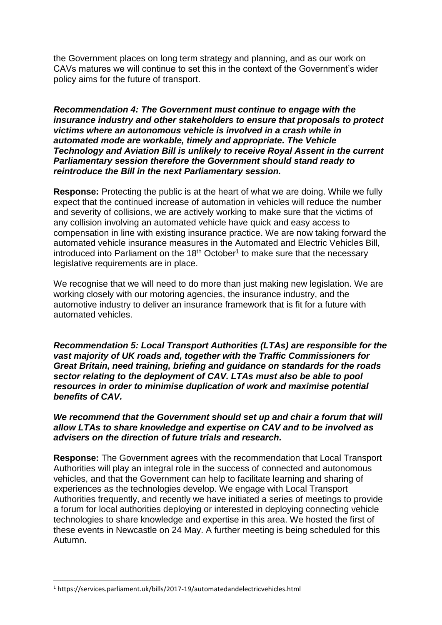the Government places on long term strategy and planning, and as our work on CAVs matures we will continue to set this in the context of the Government's wider policy aims for the future of transport.

*Recommendation 4: The Government must continue to engage with the insurance industry and other stakeholders to ensure that proposals to protect victims where an autonomous vehicle is involved in a crash while in automated mode are workable, timely and appropriate. The Vehicle Technology and Aviation Bill is unlikely to receive Royal Assent in the current Parliamentary session therefore the Government should stand ready to reintroduce the Bill in the next Parliamentary session.*

**Response:** Protecting the public is at the heart of what we are doing. While we fully expect that the continued increase of automation in vehicles will reduce the number and severity of collisions, we are actively working to make sure that the victims of any collision involving an automated vehicle have quick and easy access to compensation in line with existing insurance practice. We are now taking forward the automated vehicle insurance measures in the Automated and Electric Vehicles Bill, introduced into Parliament on the  $18<sup>th</sup>$  October<sup>1</sup> to make sure that the necessary legislative requirements are in place.

We recognise that we will need to do more than just making new legislation. We are working closely with our motoring agencies, the insurance industry, and the automotive industry to deliver an insurance framework that is fit for a future with automated vehicles.

*Recommendation 5: Local Transport Authorities (LTAs) are responsible for the vast majority of UK roads and, together with the Traffic Commissioners for Great Britain, need training, briefing and guidance on standards for the roads sector relating to the deployment of CAV. LTAs must also be able to pool resources in order to minimise duplication of work and maximise potential benefits of CAV.* 

*We recommend that the Government should set up and chair a forum that will allow LTAs to share knowledge and expertise on CAV and to be involved as advisers on the direction of future trials and research.* 

**Response:** The Government agrees with the recommendation that Local Transport Authorities will play an integral role in the success of connected and autonomous vehicles, and that the Government can help to facilitate learning and sharing of experiences as the technologies develop. We engage with Local Transport Authorities frequently, and recently we have initiated a series of meetings to provide a forum for local authorities deploying or interested in deploying connecting vehicle technologies to share knowledge and expertise in this area. We hosted the first of these events in Newcastle on 24 May. A further meeting is being scheduled for this Autumn.

 $\overline{a}$ 

<sup>1</sup> https://services.parliament.uk/bills/2017-19/automatedandelectricvehicles.html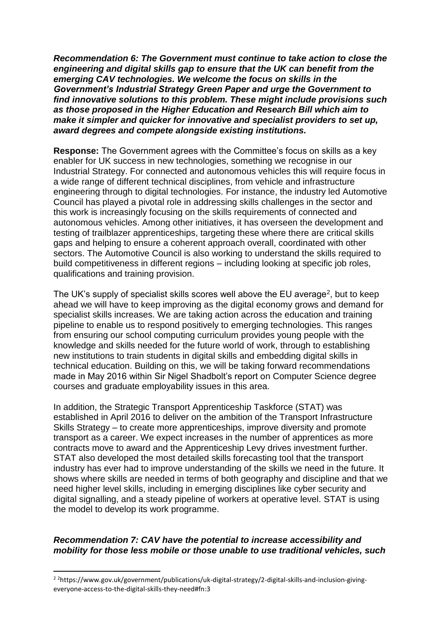*Recommendation 6: The Government must continue to take action to close the engineering and digital skills gap to ensure that the UK can benefit from the emerging CAV technologies. We welcome the focus on skills in the Government's Industrial Strategy Green Paper and urge the Government to find innovative solutions to this problem. These might include provisions such as those proposed in the Higher Education and Research Bill which aim to make it simpler and quicker for innovative and specialist providers to set up, award degrees and compete alongside existing institutions.* 

**Response:** The Government agrees with the Committee's focus on skills as a key enabler for UK success in new technologies, something we recognise in our Industrial Strategy. For connected and autonomous vehicles this will require focus in a wide range of different technical disciplines, from vehicle and infrastructure engineering through to digital technologies. For instance, the industry led Automotive Council has played a pivotal role in addressing skills challenges in the sector and this work is increasingly focusing on the skills requirements of connected and autonomous vehicles. Among other initiatives, it has overseen the development and testing of trailblazer apprenticeships, targeting these where there are critical skills gaps and helping to ensure a coherent approach overall, coordinated with other sectors. The Automotive Council is also working to understand the skills required to build competitiveness in different regions – including looking at specific job roles, qualifications and training provision.

The UK's supply of specialist skills scores well above the EU average<sup>2</sup>, but to keep ahead we will have to keep improving as the digital economy grows and demand for specialist skills increases. We are taking action across the education and training pipeline to enable us to respond positively to emerging technologies. This ranges from ensuring our school computing curriculum provides young people with the knowledge and skills needed for the future world of work, through to establishing new institutions to train students in digital skills and embedding digital skills in technical education. Building on this, we will be taking forward recommendations made in May 2016 within Sir Nigel Shadbolt's report on Computer Science degree courses and graduate employability issues in this area.

In addition, the Strategic Transport Apprenticeship Taskforce (STAT) was established in April 2016 to deliver on the ambition of the Transport Infrastructure Skills Strategy – to create more apprenticeships, improve diversity and promote transport as a career. We expect increases in the number of apprentices as more contracts move to award and the Apprenticeship Levy drives investment further. STAT also developed the most detailed skills forecasting tool that the transport industry has ever had to improve understanding of the skills we need in the future. It shows where skills are needed in terms of both geography and discipline and that we need higher level skills, including in emerging disciplines like cyber security and digital signalling, and a steady pipeline of workers at operative level. STAT is using the model to develop its work programme.

# *Recommendation 7: CAV have the potential to increase accessibility and mobility for those less mobile or those unable to use traditional vehicles, such*

<sup>&</sup>lt;sup>2</sup> <sup>2</sup>[https://www.gov.uk/government/publications/uk-digital-strategy/2-digital-skills-and-inclusion-giving](https://www.gov.uk/government/publications/uk-digital-strategy/2-digital-skills-and-inclusion-giving-everyone-access-to-the-digital-skills-they-need#fn:3)[everyone-access-to-the-digital-skills-they-need#fn:3](https://www.gov.uk/government/publications/uk-digital-strategy/2-digital-skills-and-inclusion-giving-everyone-access-to-the-digital-skills-they-need#fn:3)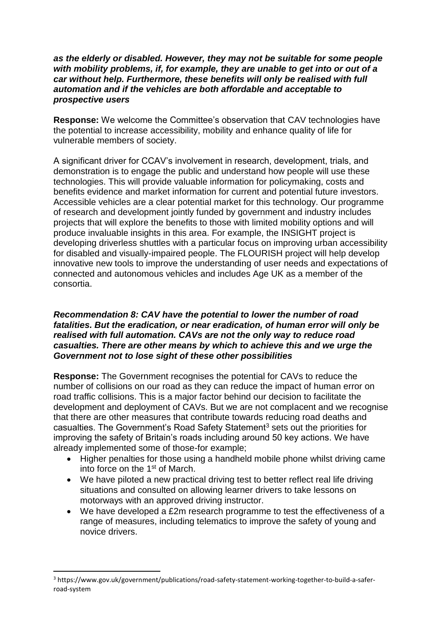# *as the elderly or disabled. However, they may not be suitable for some people with mobility problems, if, for example, they are unable to get into or out of a car without help. Furthermore, these benefits will only be realised with full automation and if the vehicles are both affordable and acceptable to prospective users*

**Response:** We welcome the Committee's observation that CAV technologies have the potential to increase accessibility, mobility and enhance quality of life for vulnerable members of society.

A significant driver for CCAV's involvement in research, development, trials, and demonstration is to engage the public and understand how people will use these technologies. This will provide valuable information for policymaking, costs and benefits evidence and market information for current and potential future investors. Accessible vehicles are a clear potential market for this technology. Our programme of research and development jointly funded by government and industry includes projects that will explore the benefits to those with limited mobility options and will produce invaluable insights in this area. For example, the INSIGHT project is developing driverless shuttles with a particular focus on improving urban accessibility for disabled and visually-impaired people. The FLOURISH project will help develop innovative new tools to improve the understanding of user needs and expectations of connected and autonomous vehicles and includes Age UK as a member of the consortia.

# *Recommendation 8: CAV have the potential to lower the number of road fatalities. But the eradication, or near eradication, of human error will only be realised with full automation. CAVs are not the only way to reduce road casualties. There are other means by which to achieve this and we urge the Government not to lose sight of these other possibilities*

**Response:** The Government recognises the potential for CAVs to reduce the number of collisions on our road as they can reduce the impact of human error on road traffic collisions. This is a major factor behind our decision to facilitate the development and deployment of CAVs. But we are not complacent and we recognise that there are other measures that contribute towards reducing road deaths and casualties. The Government's Road Safety Statement<sup>3</sup> sets out the priorities for improving the safety of Britain's roads including around 50 key actions. We have already implemented some of those-for example;

- Higher penalties for those using a handheld mobile phone whilst driving came into force on the 1st of March.
- We have piloted a new practical driving test to better reflect real life driving situations and consulted on allowing learner drivers to take lessons on motorways with an approved driving instructor.
- We have developed a £2m research programme to test the effectiveness of a range of measures, including telematics to improve the safety of young and novice drivers.

<sup>3</sup> https://www.gov.uk/government/publications/road-safety-statement-working-together-to-build-a-saferroad-system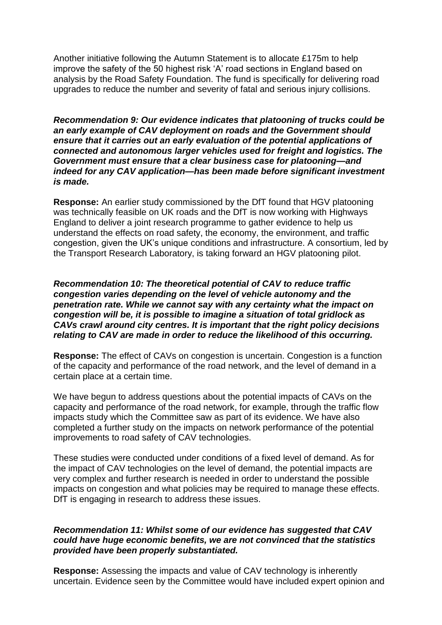Another initiative following the Autumn Statement is to allocate £175m to help improve the safety of the 50 highest risk 'A' road sections in England based on analysis by the Road Safety Foundation. The fund is specifically for delivering road upgrades to reduce the number and severity of fatal and serious injury collisions.

*Recommendation 9: Our evidence indicates that platooning of trucks could be an early example of CAV deployment on roads and the Government should ensure that it carries out an early evaluation of the potential applications of connected and autonomous larger vehicles used for freight and logistics. The Government must ensure that a clear business case for platooning—and indeed for any CAV application—has been made before significant investment is made.*

**Response:** An earlier study commissioned by the DfT found that HGV platooning was technically feasible on UK roads and the DfT is now working with Highways England to deliver a joint research programme to gather evidence to help us understand the effects on road safety, the economy, the environment, and traffic congestion, given the UK's unique conditions and infrastructure. A consortium, led by the Transport Research Laboratory, is taking forward an HGV platooning pilot.

*Recommendation 10: The theoretical potential of CAV to reduce traffic congestion varies depending on the level of vehicle autonomy and the penetration rate. While we cannot say with any certainty what the impact on congestion will be, it is possible to imagine a situation of total gridlock as CAVs crawl around city centres. It is important that the right policy decisions relating to CAV are made in order to reduce the likelihood of this occurring.*

**Response:** The effect of CAVs on congestion is uncertain. Congestion is a function of the capacity and performance of the road network, and the level of demand in a certain place at a certain time.

We have begun to address questions about the potential impacts of CAVs on the capacity and performance of the road network, for example, through the traffic flow impacts study which the Committee saw as part of its evidence. We have also completed a further study on the impacts on network performance of the potential improvements to road safety of CAV technologies.

These studies were conducted under conditions of a fixed level of demand. As for the impact of CAV technologies on the level of demand, the potential impacts are very complex and further research is needed in order to understand the possible impacts on congestion and what policies may be required to manage these effects. DfT is engaging in research to address these issues.

# *Recommendation 11: Whilst some of our evidence has suggested that CAV could have huge economic benefits, we are not convinced that the statistics provided have been properly substantiated.*

**Response:** Assessing the impacts and value of CAV technology is inherently uncertain. Evidence seen by the Committee would have included expert opinion and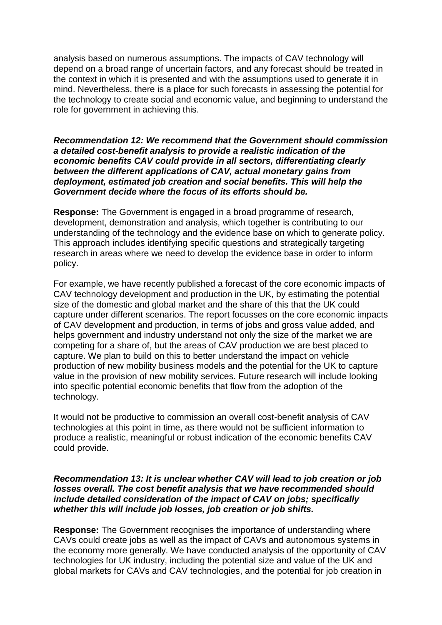analysis based on numerous assumptions. The impacts of CAV technology will depend on a broad range of uncertain factors, and any forecast should be treated in the context in which it is presented and with the assumptions used to generate it in mind. Nevertheless, there is a place for such forecasts in assessing the potential for the technology to create social and economic value, and beginning to understand the role for government in achieving this.

# *Recommendation 12: We recommend that the Government should commission a detailed cost-benefit analysis to provide a realistic indication of the economic benefits CAV could provide in all sectors, differentiating clearly between the different applications of CAV, actual monetary gains from deployment, estimated job creation and social benefits. This will help the Government decide where the focus of its efforts should be.*

**Response:** The Government is engaged in a broad programme of research, development, demonstration and analysis, which together is contributing to our understanding of the technology and the evidence base on which to generate policy. This approach includes identifying specific questions and strategically targeting research in areas where we need to develop the evidence base in order to inform policy.

For example, we have recently published a forecast of the core economic impacts of CAV technology development and production in the UK, by estimating the potential size of the domestic and global market and the share of this that the UK could capture under different scenarios. The report focusses on the core economic impacts of CAV development and production, in terms of jobs and gross value added, and helps government and industry understand not only the size of the market we are competing for a share of, but the areas of CAV production we are best placed to capture. We plan to build on this to better understand the impact on vehicle production of new mobility business models and the potential for the UK to capture value in the provision of new mobility services. Future research will include looking into specific potential economic benefits that flow from the adoption of the technology.

It would not be productive to commission an overall cost-benefit analysis of CAV technologies at this point in time, as there would not be sufficient information to produce a realistic, meaningful or robust indication of the economic benefits CAV could provide.

## *Recommendation 13: It is unclear whether CAV will lead to job creation or job losses overall. The cost benefit analysis that we have recommended should include detailed consideration of the impact of CAV on jobs; specifically whether this will include job losses, job creation or job shifts.*

**Response:** The Government recognises the importance of understanding where CAVs could create jobs as well as the impact of CAVs and autonomous systems in the economy more generally. We have conducted analysis of the opportunity of CAV technologies for UK industry, including the potential size and value of the UK and global markets for CAVs and CAV technologies, and the potential for job creation in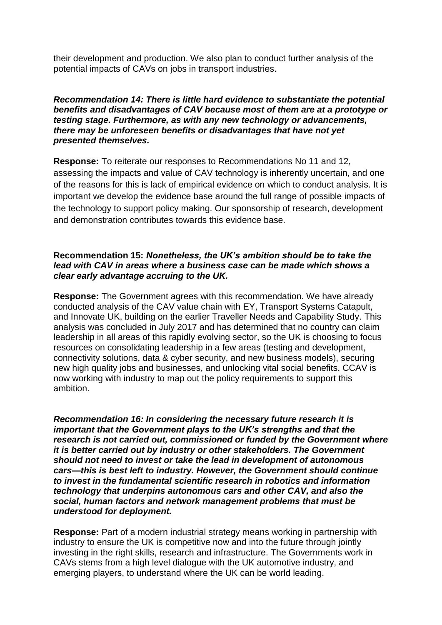their development and production. We also plan to conduct further analysis of the potential impacts of CAVs on jobs in transport industries.

*Recommendation 14: There is little hard evidence to substantiate the potential benefits and disadvantages of CAV because most of them are at a prototype or testing stage. Furthermore, as with any new technology or advancements, there may be unforeseen benefits or disadvantages that have not yet presented themselves.* 

**Response:** To reiterate our responses to Recommendations No 11 and 12, assessing the impacts and value of CAV technology is inherently uncertain, and one of the reasons for this is lack of empirical evidence on which to conduct analysis. It is important we develop the evidence base around the full range of possible impacts of the technology to support policy making. Our sponsorship of research, development and demonstration contributes towards this evidence base.

# **Recommendation 15:** *Nonetheless, the UK's ambition should be to take the lead with CAV in areas where a business case can be made which shows a clear early advantage accruing to the UK.*

**Response:** The Government agrees with this recommendation. We have already conducted analysis of the CAV value chain with EY, Transport Systems Catapult, and Innovate UK, building on the earlier Traveller Needs and Capability Study. This analysis was concluded in July 2017 and has determined that no country can claim leadership in all areas of this rapidly evolving sector, so the UK is choosing to focus resources on consolidating leadership in a few areas (testing and development, connectivity solutions, data & cyber security, and new business models), securing new high quality jobs and businesses, and unlocking vital social benefits. CCAV is now working with industry to map out the policy requirements to support this ambition.

*Recommendation 16: In considering the necessary future research it is important that the Government plays to the UK's strengths and that the research is not carried out, commissioned or funded by the Government where it is better carried out by industry or other stakeholders. The Government should not need to invest or take the lead in development of autonomous cars—this is best left to industry. However, the Government should continue to invest in the fundamental scientific research in robotics and information technology that underpins autonomous cars and other CAV, and also the social, human factors and network management problems that must be understood for deployment.*

**Response:** Part of a modern industrial strategy means working in partnership with industry to ensure the UK is competitive now and into the future through jointly investing in the right skills, research and infrastructure. The Governments work in CAVs stems from a high level dialogue with the UK automotive industry, and emerging players, to understand where the UK can be world leading.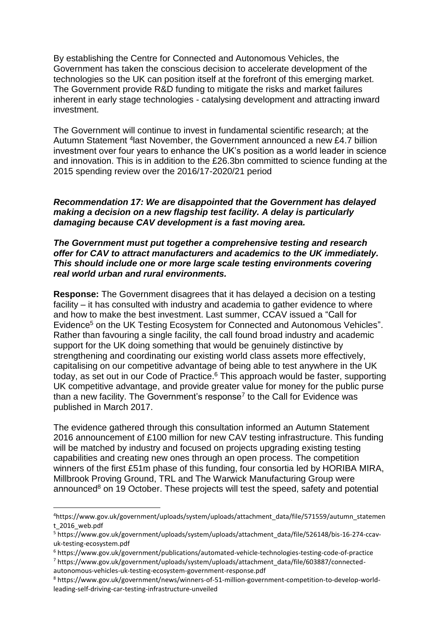By establishing the Centre for Connected and Autonomous Vehicles, the Government has taken the conscious decision to accelerate development of the technologies so the UK can position itself at the forefront of this emerging market. The Government provide R&D funding to mitigate the risks and market failures inherent in early stage technologies - catalysing development and attracting inward investment.

The Government will continue to invest in fundamental scientific research; at the Autumn Statement <sup>4</sup>last November, the Government announced a new £4.7 billion investment over four years to enhance the UK's position as a world leader in science and innovation. This is in addition to the £26.3bn committed to science funding at the 2015 spending review over the 2016/17-2020/21 period

# *Recommendation 17: We are disappointed that the Government has delayed making a decision on a new flagship test facility. A delay is particularly damaging because CAV development is a fast moving area.*

## *The Government must put together a comprehensive testing and research offer for CAV to attract manufacturers and academics to the UK immediately. This should include one or more large scale testing environments covering real world urban and rural environments.*

**Response:** The Government disagrees that it has delayed a decision on a testing facility – it has consulted with industry and academia to gather evidence to where and how to make the best investment. Last summer, CCAV issued a "Call for Evidence<sup>5</sup> on the UK Testing Ecosystem for Connected and Autonomous Vehicles". Rather than favouring a single facility, the call found broad industry and academic support for the UK doing something that would be genuinely distinctive by strengthening and coordinating our existing world class assets more effectively, capitalising on our competitive advantage of being able to test anywhere in the UK today, as set out in our Code of Practice.<sup>6</sup> This approach would be faster, supporting UK competitive advantage, and provide greater value for money for the public purse than a new facility. The Government's response<sup>7</sup> to the Call for Evidence was published in March 2017.

The evidence gathered through this consultation informed an Autumn Statement 2016 announcement of £100 million for new CAV testing infrastructure. This funding will be matched by industry and focused on projects upgrading existing testing capabilities and creating new ones through an open process. The competition winners of the first £51m phase of this funding, four consortia led by HORIBA MIRA, Millbrook Proving Ground, TRL and The Warwick Manufacturing Group were announced $8$  on 19 October. These projects will test the speed, safety and potential

<sup>4</sup>https://www.gov.uk/government/uploads/system/uploads/attachment\_data/file/571559/autumn\_statemen t\_2016\_web.pdf

<sup>5</sup> https://www.gov.uk/government/uploads/system/uploads/attachment\_data/file/526148/bis-16-274-ccavuk-testing-ecosystem.pdf

<sup>6</sup> https://www.gov.uk/government/publications/automated-vehicle-technologies-testing-code-of-practice <sup>7</sup> https://www.gov.uk/government/uploads/system/uploads/attachment\_data/file/603887/connected-

autonomous-vehicles-uk-testing-ecosystem-government-response.pdf

<sup>8</sup> [https://www.gov.uk/government/news/winners-of-51-million-government-competition-to-develop-world](https://www.gov.uk/government/news/winners-of-51-million-government-competition-to-develop-world-leading-self-driving-car-testing-infrastructure-unveiled)[leading-self-driving-car-testing-infrastructure-unveiled](https://www.gov.uk/government/news/winners-of-51-million-government-competition-to-develop-world-leading-self-driving-car-testing-infrastructure-unveiled)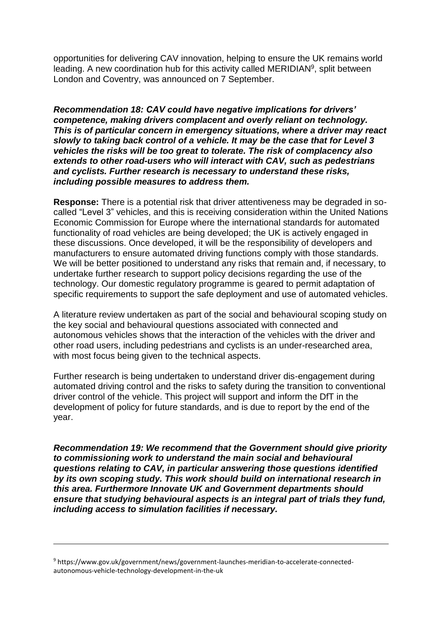opportunities for delivering CAV innovation, helping to ensure the UK remains world leading. A new coordination hub for this activity called MERIDIAN<sup>9</sup>, split between London and Coventry, was announced on 7 September.

*Recommendation 18: CAV could have negative implications for drivers' competence, making drivers complacent and overly reliant on technology. This is of particular concern in emergency situations, where a driver may react slowly to taking back control of a vehicle. It may be the case that for Level 3 vehicles the risks will be too great to tolerate. The risk of complacency also extends to other road-users who will interact with CAV, such as pedestrians and cyclists. Further research is necessary to understand these risks, including possible measures to address them.* 

**Response:** There is a potential risk that driver attentiveness may be degraded in socalled "Level 3" vehicles, and this is receiving consideration within the United Nations Economic Commission for Europe where the international standards for automated functionality of road vehicles are being developed; the UK is actively engaged in these discussions. Once developed, it will be the responsibility of developers and manufacturers to ensure automated driving functions comply with those standards. We will be better positioned to understand any risks that remain and, if necessary, to undertake further research to support policy decisions regarding the use of the technology. Our domestic regulatory programme is geared to permit adaptation of specific requirements to support the safe deployment and use of automated vehicles.

A literature review undertaken as part of the social and behavioural scoping study on the key social and behavioural questions associated with connected and autonomous vehicles shows that the interaction of the vehicles with the driver and other road users, including pedestrians and cyclists is an under-researched area, with most focus being given to the technical aspects.

Further research is being undertaken to understand driver dis-engagement during automated driving control and the risks to safety during the transition to conventional driver control of the vehicle. This project will support and inform the DfT in the development of policy for future standards, and is due to report by the end of the year.

*Recommendation 19: We recommend that the Government should give priority to commissioning work to understand the main social and behavioural questions relating to CAV, in particular answering those questions identified by its own scoping study. This work should build on international research in this area. Furthermore Innovate UK and Government departments should ensure that studying behavioural aspects is an integral part of trials they fund, including access to simulation facilities if necessary.*

1

<sup>9</sup> [https://www.gov.uk/government/news/government-launches-meridian-to-accelerate-connected](https://www.gov.uk/government/news/government-launches-meridian-to-accelerate-connected-autonomous-vehicle-technology-development-in-the-uk)[autonomous-vehicle-technology-development-in-the-uk](https://www.gov.uk/government/news/government-launches-meridian-to-accelerate-connected-autonomous-vehicle-technology-development-in-the-uk)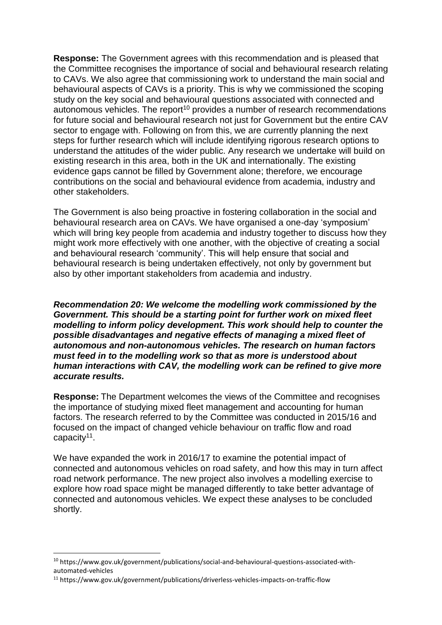**Response:** The Government agrees with this recommendation and is pleased that the Committee recognises the importance of social and behavioural research relating to CAVs. We also agree that commissioning work to understand the main social and behavioural aspects of CAVs is a priority. This is why we commissioned the scoping study on the key social and behavioural questions associated with connected and autonomous vehicles. The report<sup>10</sup> provides a number of research recommendations for future social and behavioural research not just for Government but the entire CAV sector to engage with. Following on from this, we are currently planning the next steps for further research which will include identifying rigorous research options to understand the attitudes of the wider public. Any research we undertake will build on existing research in this area, both in the UK and internationally. The existing evidence gaps cannot be filled by Government alone; therefore, we encourage contributions on the social and behavioural evidence from academia, industry and other stakeholders.

The Government is also being proactive in fostering collaboration in the social and behavioural research area on CAVs. We have organised a one-day 'symposium' which will bring key people from academia and industry together to discuss how they might work more effectively with one another, with the objective of creating a social and behavioural research 'community'. This will help ensure that social and behavioural research is being undertaken effectively, not only by government but also by other important stakeholders from academia and industry.

*Recommendation 20: We welcome the modelling work commissioned by the Government. This should be a starting point for further work on mixed fleet modelling to inform policy development. This work should help to counter the possible disadvantages and negative effects of managing a mixed fleet of autonomous and non-autonomous vehicles. The research on human factors must feed in to the modelling work so that as more is understood about human interactions with CAV, the modelling work can be refined to give more accurate results.* 

**Response:** The Department welcomes the views of the Committee and recognises the importance of studying mixed fleet management and accounting for human factors. The research referred to by the Committee was conducted in 2015/16 and focused on the impact of changed vehicle behaviour on traffic flow and road capacity<sup>11</sup>.

We have expanded the work in 2016/17 to examine the potential impact of connected and autonomous vehicles on road safety, and how this may in turn affect road network performance. The new project also involves a modelling exercise to explore how road space might be managed differently to take better advantage of connected and autonomous vehicles. We expect these analyses to be concluded shortly.

 $\overline{a}$ 

<sup>10</sup> https://www.gov.uk/government/publications/social-and-behavioural-questions-associated-withautomated-vehicles

<sup>11</sup> https://www.gov.uk/government/publications/driverless-vehicles-impacts-on-traffic-flow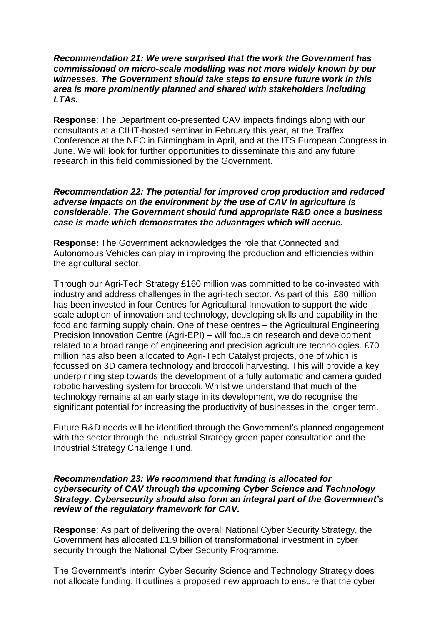#### *Recommendation 21: We were surprised that the work the Government has commissioned on micro-scale modelling was not more widely known by our witnesses. The Government should take steps to ensure future work in this area is more prominently planned and shared with stakeholders including LTAs.*

**Response**: The Department co-presented CAV impacts findings along with our consultants at a CIHT-hosted seminar in February this year, at the Traffex Conference at the NEC in Birmingham in April, and at the ITS European Congress in June. We will look for further opportunities to disseminate this and any future research in this field commissioned by the Government.

# *Recommendation 22: The potential for improved crop production and reduced adverse impacts on the environment by the use of CAV in agriculture is considerable. The Government should fund appropriate R&D once a business case is made which demonstrates the advantages which will accrue.*

**Response:** The Government acknowledges the role that Connected and Autonomous Vehicles can play in improving the production and efficiencies within the agricultural sector.

Through our Agri-Tech Strategy £160 million was committed to be co-invested with industry and address challenges in the agri-tech sector. As part of this, £80 million has been invested in four Centres for Agricultural Innovation to support the wide scale adoption of innovation and technology, developing skills and capability in the food and farming supply chain. One of these centres – the Agricultural Engineering Precision Innovation Centre (Agri-EPI) – will focus on research and development related to a broad range of engineering and precision agriculture technologies. £70 million has also been allocated to Agri-Tech Catalyst projects, one of which is focussed on 3D camera technology and broccoli harvesting. This will provide a key underpinning step towards the development of a fully automatic and camera guided robotic harvesting system for broccoli. Whilst we understand that much of the technology remains at an early stage in its development, we do recognise the significant potential for increasing the productivity of businesses in the longer term.

Future R&D needs will be identified through the Government's planned engagement with the sector through the Industrial Strategy green paper consultation and the Industrial Strategy Challenge Fund.

## *Recommendation 23: We recommend that funding is allocated for cybersecurity of CAV through the upcoming Cyber Science and Technology Strategy. Cybersecurity should also form an integral part of the Government's review of the regulatory framework for CAV.*

**Response**: As part of delivering the overall National Cyber Security Strategy, the Government has allocated £1.9 billion of transformational investment in cyber security through the National Cyber Security Programme.

The Government's Interim Cyber Security Science and Technology Strategy does not allocate funding. It outlines a proposed new approach to ensure that the cyber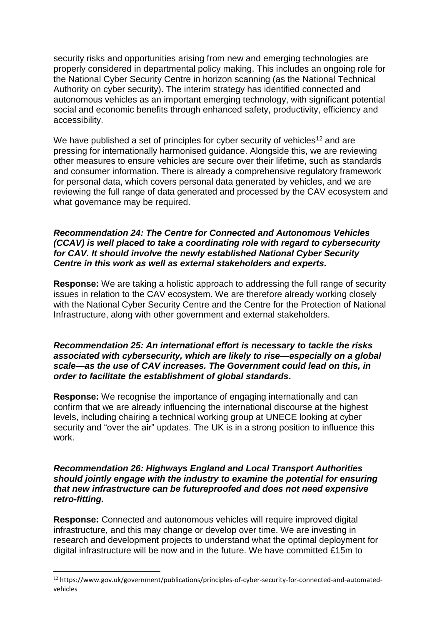security risks and opportunities arising from new and emerging technologies are properly considered in departmental policy making. This includes an ongoing role for the National Cyber Security Centre in horizon scanning (as the National Technical Authority on cyber security). The interim strategy has identified connected and autonomous vehicles as an important emerging technology, with significant potential social and economic benefits through enhanced safety, productivity, efficiency and accessibility.

We have published a set of principles for cyber security of vehicles<sup>12</sup> and are pressing for internationally harmonised guidance. Alongside this, we are reviewing other measures to ensure vehicles are secure over their lifetime, such as standards and consumer information. There is already a comprehensive regulatory framework for personal data, which covers personal data generated by vehicles, and we are reviewing the full range of data generated and processed by the CAV ecosystem and what governance may be required.

# *Recommendation 24: The Centre for Connected and Autonomous Vehicles (CCAV) is well placed to take a coordinating role with regard to cybersecurity for CAV. It should involve the newly established National Cyber Security Centre in this work as well as external stakeholders and experts.*

**Response:** We are taking a holistic approach to addressing the full range of security issues in relation to the CAV ecosystem. We are therefore already working closely with the National Cyber Security Centre and the Centre for the Protection of National Infrastructure, along with other government and external stakeholders.

# *Recommendation 25: An international effort is necessary to tackle the risks associated with cybersecurity, which are likely to rise—especially on a global scale—as the use of CAV increases. The Government could lead on this, in order to facilitate the establishment of global standards***.**

**Response:** We recognise the importance of engaging internationally and can confirm that we are already influencing the international discourse at the highest levels, including chairing a technical working group at UNECE looking at cyber security and "over the air" updates. The UK is in a strong position to influence this work.

# *Recommendation 26: Highways England and Local Transport Authorities should jointly engage with the industry to examine the potential for ensuring that new infrastructure can be futureproofed and does not need expensive retro-fitting.*

**Response:** Connected and autonomous vehicles will require improved digital infrastructure, and this may change or develop over time. We are investing in research and development projects to understand what the optimal deployment for digital infrastructure will be now and in the future. We have committed £15m to

<sup>12</sup> https://www.gov.uk/government/publications/principles-of-cyber-security-for-connected-and-automatedvehicles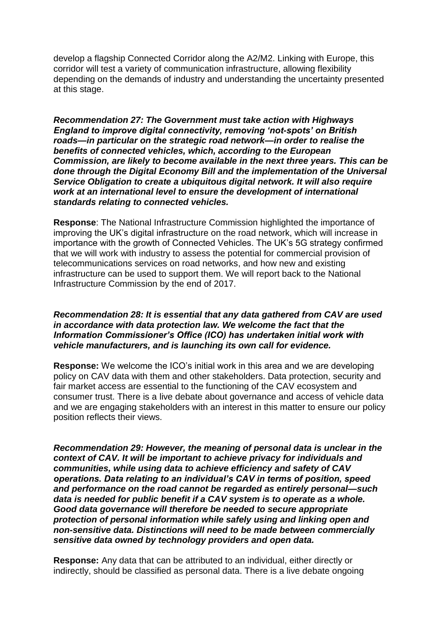develop a flagship Connected Corridor along the A2/M2. Linking with Europe, this corridor will test a variety of communication infrastructure, allowing flexibility depending on the demands of industry and understanding the uncertainty presented at this stage.

*Recommendation 27: The Government must take action with Highways England to improve digital connectivity, removing 'not-spots' on British roads—in particular on the strategic road network—in order to realise the benefits of connected vehicles, which, according to the European Commission, are likely to become available in the next three years. This can be done through the Digital Economy Bill and the implementation of the Universal Service Obligation to create a ubiquitous digital network. It will also require work at an international level to ensure the development of international standards relating to connected vehicles.*

**Response**: The National Infrastructure Commission highlighted the importance of improving the UK's digital infrastructure on the road network, which will increase in importance with the growth of Connected Vehicles. The UK's 5G strategy confirmed that we will work with industry to assess the potential for commercial provision of telecommunications services on road networks, and how new and existing infrastructure can be used to support them. We will report back to the National Infrastructure Commission by the end of 2017.

## *Recommendation 28: It is essential that any data gathered from CAV are used in accordance with data protection law. We welcome the fact that the Information Commissioner's Office (ICO) has undertaken initial work with vehicle manufacturers, and is launching its own call for evidence.*

**Response:** We welcome the ICO's initial work in this area and we are developing policy on CAV data with them and other stakeholders. Data protection, security and fair market access are essential to the functioning of the CAV ecosystem and consumer trust. There is a live debate about governance and access of vehicle data and we are engaging stakeholders with an interest in this matter to ensure our policy position reflects their views.

*Recommendation 29: However, the meaning of personal data is unclear in the context of CAV. It will be important to achieve privacy for individuals and communities, while using data to achieve efficiency and safety of CAV operations. Data relating to an individual's CAV in terms of position, speed and performance on the road cannot be regarded as entirely personal—such data is needed for public benefit if a CAV system is to operate as a whole. Good data governance will therefore be needed to secure appropriate protection of personal information while safely using and linking open and non-sensitive data. Distinctions will need to be made between commercially sensitive data owned by technology providers and open data.* 

**Response:** Any data that can be attributed to an individual, either directly or indirectly, should be classified as personal data. There is a live debate ongoing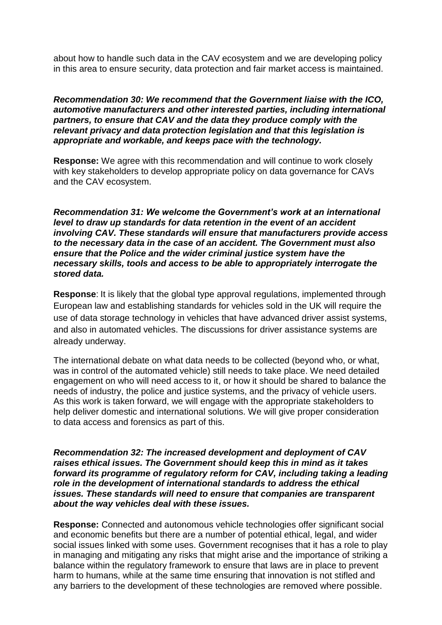about how to handle such data in the CAV ecosystem and we are developing policy in this area to ensure security, data protection and fair market access is maintained.

# *Recommendation 30: We recommend that the Government liaise with the ICO, automotive manufacturers and other interested parties, including international partners, to ensure that CAV and the data they produce comply with the relevant privacy and data protection legislation and that this legislation is appropriate and workable, and keeps pace with the technology.*

**Response:** We agree with this recommendation and will continue to work closely with key stakeholders to develop appropriate policy on data governance for CAVs and the CAV ecosystem.

*Recommendation 31: We welcome the Government's work at an international level to draw up standards for data retention in the event of an accident involving CAV. These standards will ensure that manufacturers provide access to the necessary data in the case of an accident. The Government must also ensure that the Police and the wider criminal justice system have the necessary skills, tools and access to be able to appropriately interrogate the stored data.*

**Response**: It is likely that the global type approval regulations, implemented through European law and establishing standards for vehicles sold in the UK will require the use of data storage technology in vehicles that have advanced driver assist systems, and also in automated vehicles. The discussions for driver assistance systems are already underway.

The international debate on what data needs to be collected (beyond who, or what, was in control of the automated vehicle) still needs to take place. We need detailed engagement on who will need access to it, or how it should be shared to balance the needs of industry, the police and justice systems, and the privacy of vehicle users. As this work is taken forward, we will engage with the appropriate stakeholders to help deliver domestic and international solutions. We will give proper consideration to data access and forensics as part of this.

*Recommendation 32: The increased development and deployment of CAV raises ethical issues. The Government should keep this in mind as it takes forward its programme of regulatory reform for CAV, including taking a leading role in the development of international standards to address the ethical issues. These standards will need to ensure that companies are transparent about the way vehicles deal with these issues.*

**Response:** Connected and autonomous vehicle technologies offer significant social and economic benefits but there are a number of potential ethical, legal, and wider social issues linked with some uses. Government recognises that it has a role to play in managing and mitigating any risks that might arise and the importance of striking a balance within the regulatory framework to ensure that laws are in place to prevent harm to humans, while at the same time ensuring that innovation is not stifled and any barriers to the development of these technologies are removed where possible.